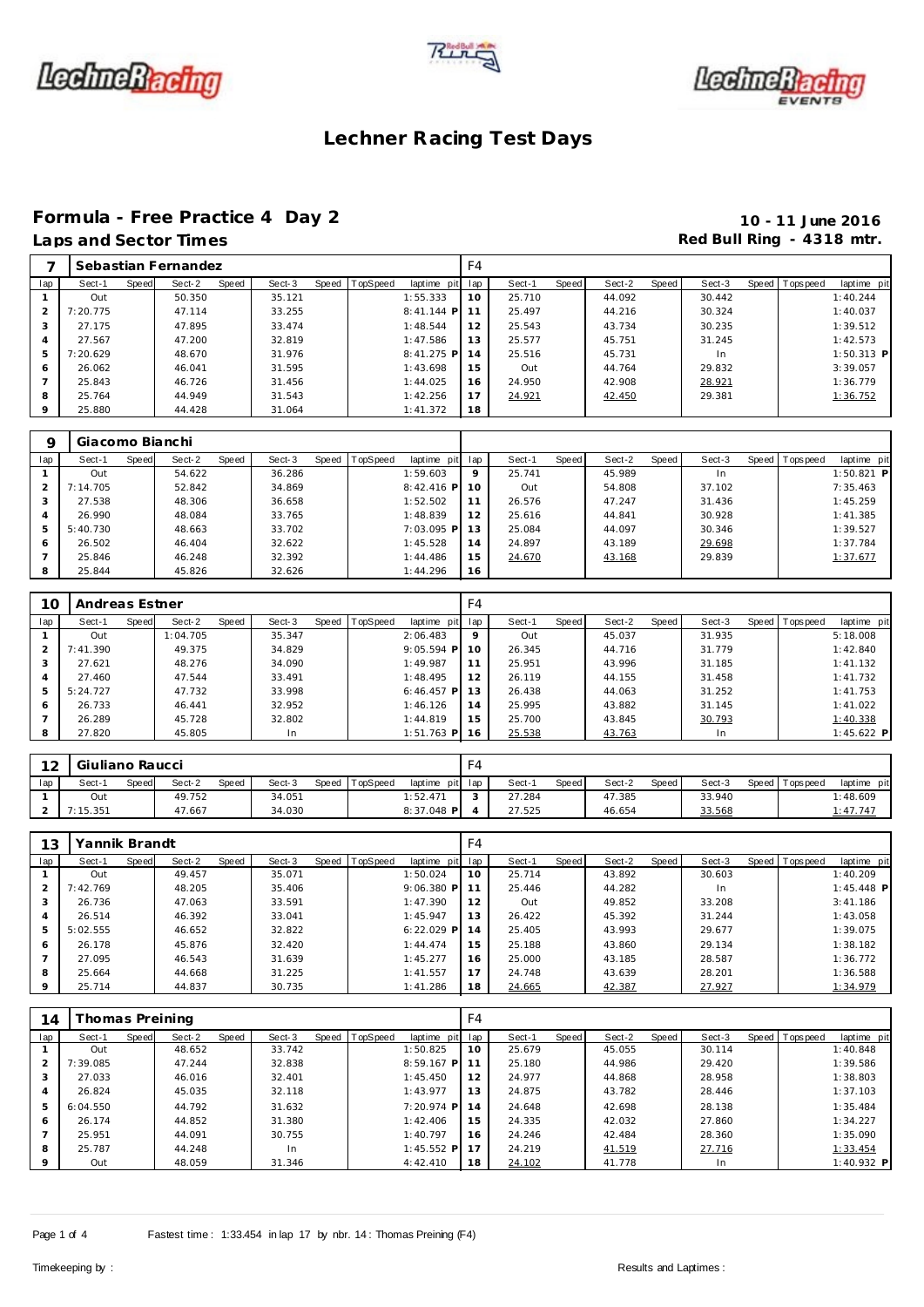





## **Formula - Free Practice 4 Day 2 10 - 11 June 2016**

## Laps and Sector Times **Red Bull Ring - 4318 mtr. Red Bull Ring - 4318 mtr.**

|          |          |       | Sebastian Fernandez |       |        |                  |              | F4  |        |       |        |       |        |                |              |
|----------|----------|-------|---------------------|-------|--------|------------------|--------------|-----|--------|-------|--------|-------|--------|----------------|--------------|
| lap      | Sect-1   | Speed | Sect-2              | Speed | Sect-3 | Speed   TopSpeed | laptime pit  | lap | Sect-1 | Speed | Sect-2 | Speed | Sect-3 | Speed Topspeed | laptime pit  |
|          | Out      |       | 50.350              |       | 35.121 |                  | 1:55.333     | 10  | 25.710 |       | 44.092 |       | 30.442 |                | 1:40.244     |
| 2        | 7:20.775 |       | 47.114              |       | 33.255 |                  | $8:41.144$ P | 11  | 25.497 |       | 44.216 |       | 30.324 |                | 1:40.037     |
| 3        | 27.175   |       | 47.895              |       | 33.474 |                  | 1:48.544     | 12  | 25.543 |       | 43.734 |       | 30.235 |                | 1:39.512     |
| 4        | 27.567   |       | 47.200              |       | 32.819 |                  | 1:47.586     | 13  | 25.577 |       | 45.751 |       | 31.245 |                | 1:42.573     |
| 5        | 7:20.629 |       | 48.670              |       | 31.976 |                  | $8:41.275$ P | 14  | 25.516 |       | 45.731 |       | In.    |                | $1:50.313$ P |
| 6        | 26.062   |       | 46.041              |       | 31.595 |                  | 1:43.698     | 15  | Out    |       | 44.764 |       | 29.832 |                | 3:39.057     |
|          | 25.843   |       | 46.726              |       | 31.456 |                  | 1:44.025     | 16  | 24.950 |       | 42.908 |       | 28.921 |                | 1:36.779     |
| 8        | 25.764   |       | 44.949              |       | 31.543 |                  | 1:42.256     | 17  | 24.921 |       | 42.450 |       | 29.381 |                | 1:36.752     |
| $\Omega$ | 25.880   |       | 44.428              |       | 31.064 |                  | 1:41.372     | 18  |        |       |        |       |        |                |              |
|          |          |       |                     |       |        |                  |              |     |        |       |        |       |        |                |              |

| O   | Giacomo Bianchi |       |        |       |        |       |          |              |         |        |       |        |         |        |                |              |  |
|-----|-----------------|-------|--------|-------|--------|-------|----------|--------------|---------|--------|-------|--------|---------|--------|----------------|--------------|--|
| lap | Sect-1          | Speed | Sect-2 | Speed | Sect-3 | Speed | TopSpeed | laptime pit  | lap     | Sect-1 | Speed | Sect-2 | Speed I | Sect-3 | Speed Topspeed | laptime pit  |  |
|     | Out             |       | 54.622 |       | 36.286 |       |          | 1:59.603     | $\circ$ | 25.741 |       | 45.989 |         | In     |                | $1:50.821$ P |  |
|     | 7:14.705        |       | 52.842 |       | 34.869 |       |          | $8:42.416$ P | 10      | Out    |       | 54.808 |         | 37.102 |                | 7:35.463     |  |
|     | 27.538          |       | 48.306 |       | 36.658 |       |          | 1:52.502     |         | 26.576 |       | 47.247 |         | 31.436 |                | 1:45.259     |  |
| 4   | 26.990          |       | 48.084 |       | 33.765 |       |          | 1:48.839     | 12      | 25.616 |       | 44.841 |         | 30.928 |                | 1:41.385     |  |
| 5   | 5:40.730        |       | 48.663 |       | 33.702 |       |          | 7:03.095 P   | 13      | 25.084 |       | 44.097 |         | 30.346 |                | 1:39.527     |  |
| 6   | 26.502          |       | 46.404 |       | 32.622 |       |          | 1:45.528     | 14      | 24.897 |       | 43.189 |         | 29.698 |                | 1:37.784     |  |
|     | 25.846          |       | 46.248 |       | 32.392 |       |          | 1:44.486     | 15      | 24.670 |       | 43.168 |         | 29.839 |                | 1:37.677     |  |
| -8  | 25.844          |       | 45.826 |       | 32.626 |       |          | 1:44.296     | 16      |        |       |        |         |        |                |              |  |

| 10            | Andreas Estner |       |          |       |        |                |              | F4      |        |       |        |       |        |                 |              |
|---------------|----------------|-------|----------|-------|--------|----------------|--------------|---------|--------|-------|--------|-------|--------|-----------------|--------------|
| lap           | Sect-1         | Speed | Sect-2   | Speed | Sect-3 | Speed TopSpeed | laptime pit  | lap     | Sect-1 | Speed | Sect-2 | Speed | Sect-3 | Speed Tops peed | laptime pit  |
|               | Out            |       | 1:04.705 |       | 35.347 |                | 2:06.483     | $\circ$ | Out    |       | 45.037 |       | 31.935 |                 | 5:18.008     |
| $\mathcal{P}$ | 7:41.390       |       | 49.375   |       | 34.829 |                | $9:05.594$ P | 10      | 26.345 |       | 44.716 |       | 31.779 |                 | 1:42.840     |
|               | 27.621         |       | 48.276   |       | 34.090 |                | 1:49.987     | 11      | 25.951 |       | 43.996 |       | 31.185 |                 | 1:41.132     |
| 4             | 27.460         |       | 47.544   |       | 33.491 |                | 1:48.495     | 12      | 26.119 |       | 44.155 |       | 31.458 |                 | 1:41.732     |
| 5             | 5:24.727       |       | 47.732   |       | 33.998 |                | $6:46.457$ P | 13      | 26.438 |       | 44.063 |       | 31.252 |                 | 1:41.753     |
| <sup>6</sup>  | 26.733         |       | 46.441   |       | 32.952 |                | 1:46.126     | 14      | 25.995 |       | 43.882 |       | 31.145 |                 | 1:41.022     |
|               | 26.289         |       | 45.728   |       | 32.802 |                | 1:44.819     | 15      | 25.700 |       | 43.845 |       | 30.793 |                 | 1:40.338     |
| 8             | 27.820         |       | 45.805   |       | In.    |                | $1:51.763$ P | 16      | 25.538 |       | 43.763 |       | In.    |                 | $1:45.622$ P |

| $\Omega$ | Giuliano Raucci |              |        |              |        |       |          |                 | $-4$ |        |       |        |       |        |                 |             |
|----------|-----------------|--------------|--------|--------------|--------|-------|----------|-----------------|------|--------|-------|--------|-------|--------|-----------------|-------------|
| lap      | Sect-1          | <b>Speed</b> | Sect-2 | <b>Speed</b> | Sect-3 | Speed | TopSpeed | laptime pit lap |      | Sect-1 | Speed | Sect-2 | Speed | Sect-3 | Speed Tops peed | laptime pit |
|          | Out             |              | 49.752 |              | 34.051 |       |          | : 52.471        |      | 27.284 |       | 47.385 |       | 33.940 |                 | 1:48.609    |
|          | 7:15.351        |              | 47.667 |              | 34.030 |       |          | $8:37.048$ P    |      | 27.525 |       | 46.654 |       | 33.568 |                 | 1:47.747    |

| 13      | Yannik Brandt |       |        |       |        |                |              | F4  |        |       |        |       |        |                |              |
|---------|---------------|-------|--------|-------|--------|----------------|--------------|-----|--------|-------|--------|-------|--------|----------------|--------------|
| lap     | Sect-1        | Speed | Sect-2 | Speed | Sect-3 | Speed TopSpeed | laptime pit  | lap | Sect-1 | Speed | Sect-2 | Speed | Sect-3 | Speed Topspeed | laptime pit  |
|         | Out           |       | 49.457 |       | 35.071 |                | 1:50.024     | 10  | 25.714 |       | 43.892 |       | 30.603 |                | 1:40.209     |
|         | 7:42.769      |       | 48.205 |       | 35.406 |                | $9:06.380$ P |     | 25.446 |       | 44.282 |       | In     |                | $1:45.448$ P |
| 3       | 26.736        |       | 47.063 |       | 33.591 |                | 1:47.390     | 12  | Out    |       | 49.852 |       | 33.208 |                | 3:41.186     |
| 4       | 26.514        |       | 46.392 |       | 33.041 |                | 1:45.947     | 13  | 26.422 |       | 45.392 |       | 31.244 |                | 1:43.058     |
| 5       | 5:02.555      |       | 46.652 |       | 32.822 |                | $6:22.029$ P | 14  | 25.405 |       | 43.993 |       | 29.677 |                | 1:39.075     |
| 6       | 26.178        |       | 45.876 |       | 32.420 |                | 1:44.474     | 15  | 25.188 |       | 43.860 |       | 29.134 |                | 1:38.182     |
|         | 27.095        |       | 46.543 |       | 31.639 |                | 1:45.277     | 16  | 25,000 |       | 43.185 |       | 28.587 |                | 1:36.772     |
| 8       | 25.664        |       | 44.668 |       | 31.225 |                | 1:41.557     | 17  | 24.748 |       | 43.639 |       | 28.201 |                | 1:36.588     |
| $\circ$ | 25.714        |       | 44.837 |       | 30.735 |                | 1:41.286     | 18  | 24.665 |       | 42.387 |       | 27.927 |                | 1:34.979     |

| 14      |          |       | homas Preining |       |        |                |              | F4  |        |       |        |       |        |                |              |
|---------|----------|-------|----------------|-------|--------|----------------|--------------|-----|--------|-------|--------|-------|--------|----------------|--------------|
| lap     | Sect-1   | Speed | Sect-2         | Speed | Sect-3 | Speed TopSpeed | laptime pit  | lap | Sect-1 | Speed | Sect-2 | Speed | Sect-3 | Speed Topspeed | laptime pit  |
|         | Out      |       | 48.652         |       | 33.742 |                | 1:50.825     | 10  | 25.679 |       | 45.055 |       | 30.114 |                | 1:40.848     |
| 2       | 7:39.085 |       | 47.244         |       | 32.838 |                | $8:59.167$ P | 11  | 25.180 |       | 44.986 |       | 29.420 |                | 1:39.586     |
| 3       | 27.033   |       | 46.016         |       | 32.401 |                | 1:45.450     | 12  | 24.977 |       | 44.868 |       | 28.958 |                | 1:38.803     |
|         | 26.824   |       | 45.035         |       | 32.118 |                | 1:43.977     | 13  | 24.875 |       | 43.782 |       | 28.446 |                | 1:37.103     |
| 5       | 6:04.550 |       | 44.792         |       | 31.632 |                | 7:20.974 P   | 14  | 24.648 |       | 42.698 |       | 28.138 |                | 1:35.484     |
| 6       | 26.174   |       | 44.852         |       | 31.380 |                | 1:42.406     | 15  | 24.335 |       | 42.032 |       | 27.860 |                | 1:34.227     |
|         | 25.951   |       | 44.091         |       | 30.755 |                | 1:40.797     | 16  | 24.246 |       | 42.484 |       | 28.360 |                | 1:35.090     |
| 8       | 25.787   |       | 44.248         |       | In     |                | $1:45.552$ P | 17  | 24.219 |       | 41.519 |       | 27.716 |                | 1:33.454     |
| $\circ$ | Out      |       | 48.059         |       | 31.346 |                | 4:42.410     | 18  | 24.102 |       | 41.778 |       | In     |                | $1:40.932$ P |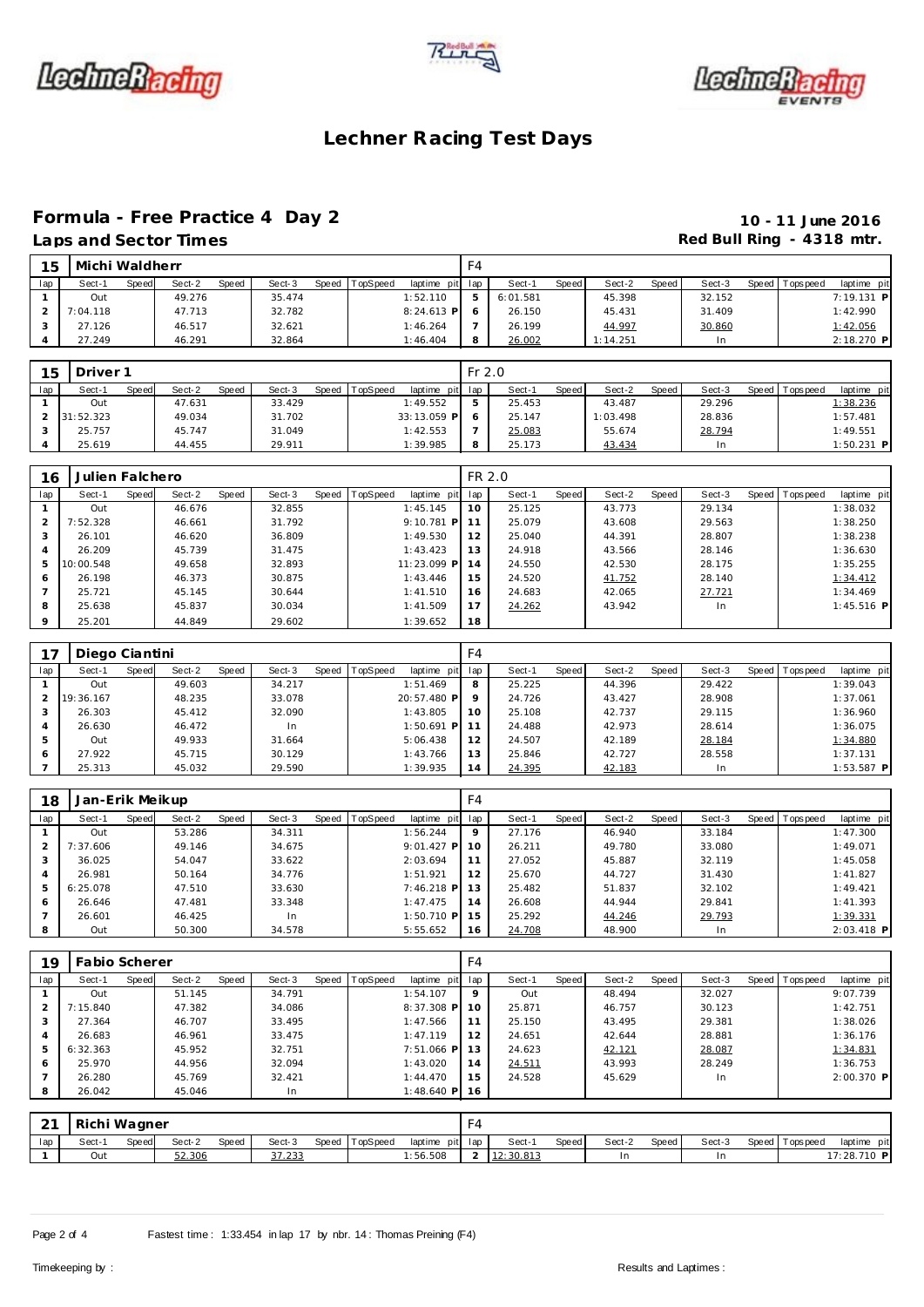





### **Formula - Free Practice 4 Day 2 10 - 11 June 2016**

## Laps and Sector Times **Red Bull Ring - 4318 mtr.**

| 15  | Michi Waldherr |              |        |       |        |              |          |              | F4             |          |       |          |       |        |       |           |              |  |
|-----|----------------|--------------|--------|-------|--------|--------------|----------|--------------|----------------|----------|-------|----------|-------|--------|-------|-----------|--------------|--|
| lap | Sect-1         | <b>Speed</b> | Sect-2 | Speed | Sect-3 | <b>Speed</b> | TopSpeed | laptime pit  | lap            | Sect-1   | Speed | Sect-2   | Speed | Sect-3 | Speed | Tops peed | laptime pit  |  |
|     | Out            |              | 49.276 |       | 35.474 |              |          | 1:52.110     | 5 <sub>1</sub> | 6:01.581 |       | 45.398   |       | 32.152 |       |           | $7:19.131$ P |  |
|     | 7:04.118       |              | 47.713 |       | 32.782 |              |          | $8:24.613$ P |                | 26.150   |       | 45.431   |       | 31.409 |       |           | 1:42.990     |  |
|     | 27.126         |              | 46.517 |       | 32.621 |              |          | 1:46.264     |                | 26.199   |       | 44.997   |       | 30.860 |       |           | 1:42.056     |  |
|     | 27.249         |              | 46.291 |       | 32.864 |              |          | 1:46.404     | 8              | 26.002   |       | 1:14.251 |       | In     |       |           | 2:18.270 P   |  |

| 15  | Driver 1  |       |        |       |        |                  |             | $Fr$ 2.0 |        |       |          |       |        |       |            |              |  |
|-----|-----------|-------|--------|-------|--------|------------------|-------------|----------|--------|-------|----------|-------|--------|-------|------------|--------------|--|
| lap | Sect-1    | Speed | Sect-2 | Speed | Sect-3 | Speed   TopSpeed | laptime pit | lap      | Sect-1 | Speed | Sect-2   | Speed | Sect-3 | Speed | Tops pee d | laptime pit  |  |
|     | Out       |       | 47.631 |       | 33.429 |                  | 1:49.552    |          | 25.453 |       | 43.487   |       | 29.296 |       |            | 1:38.236     |  |
|     | 31:52.323 |       | 49.034 |       | 31.702 |                  | 33:13.059 P |          | 25.147 |       | 1:03.498 |       | 28.836 |       |            | 1:57.481     |  |
|     | 25.757    |       | 45.747 |       | 31.049 |                  | 1:42.553    |          | 25.083 |       | 55.674   |       | 28.794 |       |            | 1:49.551     |  |
|     | 25.619    |       | 44.455 |       | 29.911 |                  | 1:39.985    | 8        | 25.173 |       | 43.434   |       | In     |       |            | $1:50.231$ P |  |

| 16      | Julien Falchero |       |        |       |        |       |          |              | FR 2.0 |        |       |        |       |        |       |          |              |
|---------|-----------------|-------|--------|-------|--------|-------|----------|--------------|--------|--------|-------|--------|-------|--------|-------|----------|--------------|
| lap     | Sect-1          | Speed | Sect-2 | Speed | Sect-3 | Speed | TopSpeed | laptime pit  | lap    | Sect-1 | Speed | Sect-2 | Speed | Sect-3 | Speed | Topspeed | laptime pit  |
|         | Out             |       | 46.676 |       | 32.855 |       |          | 1:45.145     | 10     | 25.125 |       | 43.773 |       | 29.134 |       |          | 1:38.032     |
| 2       | 7:52.328        |       | 46.661 |       | 31.792 |       |          | $9:10.781$ P |        | 25.079 |       | 43.608 |       | 29.563 |       |          | 1:38.250     |
| 3       | 26.101          |       | 46.620 |       | 36.809 |       |          | 1:49.530     | 12     | 25.040 |       | 44.391 |       | 28.807 |       |          | 1:38.238     |
| 4       | 26.209          |       | 45.739 |       | 31.475 |       |          | 1:43.423     | 13     | 24.918 |       | 43.566 |       | 28.146 |       |          | 1:36.630     |
| 5       | 10:00.548       |       | 49.658 |       | 32.893 |       |          | 11:23.099 P  | 14     | 24.550 |       | 42.530 |       | 28.175 |       |          | 1:35.255     |
| 6       | 26.198          |       | 46.373 |       | 30.875 |       |          | 1:43.446     | 15     | 24.520 |       | 41.752 |       | 28.140 |       |          | 1:34.412     |
|         | 25.721          |       | 45.145 |       | 30.644 |       |          | 1:41.510     | 16     | 24.683 |       | 42.065 |       | 27.721 |       |          | 1:34.469     |
| 8       | 25.638          |       | 45.837 |       | 30.034 |       |          | 1:41.509     | 17     | 24.262 |       | 43.942 |       | In.    |       |          | $1:45.516$ P |
| $\circ$ | 25.201          |       | 44.849 |       | 29.602 |       |          | 1:39.652     | 18     |        |       |        |       |        |       |          |              |

|               | Diego Ciantini |       |        |       |        |                |                 | F4      |        |       |        |       |        |       |            |              |
|---------------|----------------|-------|--------|-------|--------|----------------|-----------------|---------|--------|-------|--------|-------|--------|-------|------------|--------------|
| lap           | Sect-1         | Speed | Sect-2 | Speed | Sect-3 | Speed TopSpeed | laptime pit lap |         | Sect-1 | Speed | Sect-2 | Speed | Sect-3 | Speed | I Topspeed | laptime pit  |
|               | Out            |       | 49.603 |       | 34.217 |                | 1:51.469        | 8       | 25.225 |       | 44.396 |       | 29.422 |       |            | 1:39.043     |
| $\mathcal{P}$ | 19:36.167      |       | 48.235 |       | 33.078 |                | 20:57.480 P     | $\circ$ | 24.726 |       | 43.427 |       | 28.908 |       |            | 1:37.061     |
|               | 26.303         |       | 45.412 |       | 32.090 |                | 1:43.805        | 10      | 25.108 |       | 42.737 |       | 29.115 |       |            | 1:36.960     |
|               | 26.630         |       | 46.472 |       | In     |                | $1:50.691$ P    |         | 24.488 |       | 42.973 |       | 28.614 |       |            | 1:36.075     |
| 5             | Out            |       | 49.933 |       | 31.664 |                | 5:06.438        | 12      | 24.507 |       | 42.189 |       | 28.184 |       |            | 1:34.880     |
| 6             | 27.922         |       | 45.715 |       | 30.129 |                | 1:43.766        | 13      | 25.846 |       | 42.727 |       | 28.558 |       |            | 1:37.131     |
|               | 25.313         |       | 45.032 |       | 29.590 |                | 1:39.935        | 14      | 24.395 |       | 42.183 |       | In.    |       |            | $1:53.587$ P |

| 18  | Jan-Erik Meikup |       |        |       |        |       |                 |              | F4      |        |       |        |       |        |                 |              |
|-----|-----------------|-------|--------|-------|--------|-------|-----------------|--------------|---------|--------|-------|--------|-------|--------|-----------------|--------------|
| lap | Sect-1          | Speed | Sect-2 | Speed | Sect-3 | Speed | <b>TopSpeed</b> | laptime pit  | lap     | Sect-1 | Speed | Sect-2 | Speed | Sect-3 | Speed Tops peed | laptime pit  |
|     | Out             |       | 53.286 |       | 34.311 |       |                 | 1:56.244     | $\circ$ | 27.176 |       | 46.940 |       | 33.184 |                 | 1:47.300     |
|     | 7:37.606        |       | 49.146 |       | 34.675 |       |                 | $9:01.427$ P | 10      | 26.211 |       | 49.780 |       | 33.080 |                 | 1:49.071     |
|     | 36.025          |       | 54.047 |       | 33.622 |       |                 | 2:03.694     | 11      | 27.052 |       | 45.887 |       | 32.119 |                 | 1:45.058     |
|     | 26.981          |       | 50.164 |       | 34.776 |       |                 | 1:51.921     | 12      | 25.670 |       | 44.727 |       | 31.430 |                 | 1:41.827     |
|     | 6:25.078        |       | 47.510 |       | 33.630 |       |                 | $7:46.218$ P | 13      | 25.482 |       | 51.837 |       | 32.102 |                 | 1:49.421     |
| 6   | 26.646          |       | 47.481 |       | 33.348 |       |                 | 1:47.475     | 14      | 26.608 |       | 44.944 |       | 29.841 |                 | 1:41.393     |
|     | 26.601          |       | 46.425 |       | In     |       |                 | $1:50.710$ P | 15      | 25.292 |       | 44.246 |       | 29.793 |                 | 1:39.331     |
|     | Out             |       | 50.300 |       | 34.578 |       |                 | 5:55.652     | 16      | 24.708 |       | 48.900 |       | In     |                 | $2:03.418$ P |

| 19  | <b>Fabio Scherer</b> |       |        |       |        |       |          |              | F4  |        |       |        |       |        |       |           |              |
|-----|----------------------|-------|--------|-------|--------|-------|----------|--------------|-----|--------|-------|--------|-------|--------|-------|-----------|--------------|
| lap | Sect-1               | Speed | Sect-2 | Speed | Sect-3 | Speed | TopSpeed | laptime pit  | lap | Sect-1 | Speed | Sect-2 | Speed | Sect-3 | Speed | Tops peed | laptime pit  |
|     | Out                  |       | 51.145 |       | 34.791 |       |          | 1:54.107     | 9   | Out    |       | 48.494 |       | 32.027 |       |           | 9:07.739     |
|     | 7:15.840             |       | 47.382 |       | 34.086 |       |          | $8:37.308$ P | 10  | 25.871 |       | 46.757 |       | 30.123 |       |           | 1:42.751     |
| 3   | 27.364               |       | 46.707 |       | 33.495 |       |          | 1:47.566     | 11  | 25.150 |       | 43.495 |       | 29.381 |       |           | 1:38.026     |
| 4   | 26.683               |       | 46.961 |       | 33.475 |       |          | 1:47.119     | 12  | 24.651 |       | 42.644 |       | 28.881 |       |           | 1:36.176     |
| 5   | 6:32.363             |       | 45.952 |       | 32.751 |       |          | $7:51.066$ P | 13  | 24.623 |       | 42.121 |       | 28.087 |       |           | 1:34.831     |
| 6   | 25.970               |       | 44.956 |       | 32.094 |       |          | 1:43.020     | 14  | 24.511 |       | 43.993 |       | 28.249 |       |           | 1:36.753     |
|     | 26.280               |       | 45.769 |       | 32.421 |       |          | 1:44.470     | 15  | 24.528 |       | 45.629 |       | In     |       |           | $2:00.370$ P |
| 8   | 26.042               |       | 45.046 |       | In.    |       |          | $1:48.640$ P | 16  |        |       |        |       |        |       |           |              |

| $\sim$<br><u>_</u> | Richi Wagner |              |        |       |        |                |                 | $\mathbf{r}$<br>FA |           |       |        |       |        |                |             |
|--------------------|--------------|--------------|--------|-------|--------|----------------|-----------------|--------------------|-----------|-------|--------|-------|--------|----------------|-------------|
| lap                | Sect-1       | <b>Speed</b> | Sect-2 | Speed | Sect-3 | Speed TopSpeed | laptime pit lap |                    | Sect-     | Speed | Sect-2 | Speed | Sect-3 | Speed Topspeed | laptime pit |
|                    | Out          |              | 52.306 |       | 37.233 |                | :56.508         | $\sim$             | 12:30.813 |       | In     |       |        |                | 17:28.710 P |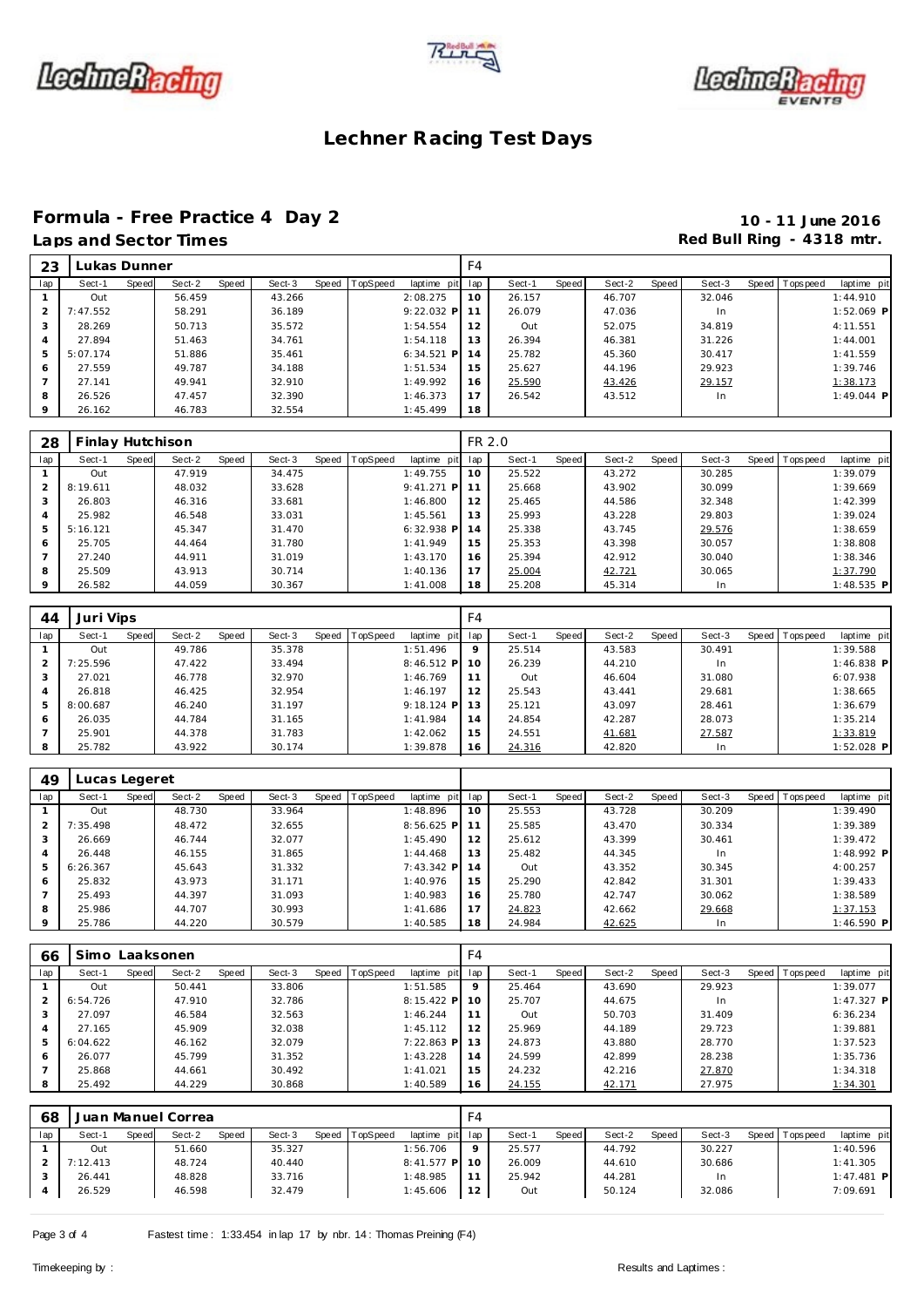





### **Formula - Free Practice 4 Day 2 10 - 11 June 2016**

## Laps and Sector Times **Red Bull Ring - 4318 mtr. Red Bull Ring - 4318 mtr.**

| 23      |          | Lukas Dunner |        |       |        |                |                 | F <sub>4</sub> |        |       |        |       |        |                |              |
|---------|----------|--------------|--------|-------|--------|----------------|-----------------|----------------|--------|-------|--------|-------|--------|----------------|--------------|
| lap     | Sect-1   | Speed        | Sect-2 | Speed | Sect-3 | Speed TopSpeed | laptime pit lap |                | Sect-1 | Speed | Sect-2 | Speed | Sect-3 | Speed Topspeed | laptime pit  |
|         | Out      |              | 56.459 |       | 43.266 |                | 2:08.275        | 10             | 26.157 |       | 46.707 |       | 32.046 |                | 1:44.910     |
| 2       | 7:47.552 |              | 58.291 |       | 36.189 |                | $9:22.032$ P    | 11             | 26.079 |       | 47.036 |       | In.    |                | $1:52.069$ P |
| 3       | 28.269   |              | 50.713 |       | 35.572 |                | 1:54.554        | 12             | Out    |       | 52.075 |       | 34.819 |                | 4:11.551     |
| 4       | 27.894   |              | 51.463 |       | 34.761 |                | 1:54.118        | 13             | 26.394 |       | 46.381 |       | 31.226 |                | 1:44.001     |
| 5       | 5:07.174 |              | 51.886 |       | 35.461 |                | $6:34.521$ P    | 14             | 25.782 |       | 45.360 |       | 30.417 |                | 1:41.559     |
| 6       | 27.559   |              | 49.787 |       | 34.188 |                | 1:51.534        | 15             | 25.627 |       | 44.196 |       | 29.923 |                | 1:39.746     |
|         | 27.141   |              | 49.941 |       | 32.910 |                | 1:49.992        | 16             | 25.590 |       | 43.426 |       | 29.157 |                | 1:38.173     |
| 8       | 26.526   |              | 47.457 |       | 32.390 |                | 1:46.373        | 17             | 26.542 |       | 43.512 |       | In.    |                | $1:49.044$ P |
| $\circ$ | 26.162   |              | 46.783 |       | 32.554 |                | 1:45.499        | 18             |        |       |        |       |        |                |              |

| 28  | Finlay Hutchison |       |        |       |        |                |              | FR 2.0 |        |       |        |       |        |                |              |
|-----|------------------|-------|--------|-------|--------|----------------|--------------|--------|--------|-------|--------|-------|--------|----------------|--------------|
| lap | Sect-1           | Speed | Sect-2 | Speed | Sect-3 | Speed TopSpeed | laptime pit  | lap    | Sect-1 | Speed | Sect-2 | Speed | Sect-3 | Speed Topspeed | laptime pit  |
|     | Out              |       | 47.919 |       | 34.475 |                | 1:49.755     | 10     | 25.522 |       | 43.272 |       | 30.285 |                | 1:39.079     |
|     | 8:19.611         |       | 48.032 |       | 33.628 |                | $9:41.271$ P | 11     | 25.668 |       | 43.902 |       | 30.099 |                | 1:39.669     |
|     | 26.803           |       | 46.316 |       | 33.681 |                | 1:46.800     | 12     | 25.465 |       | 44.586 |       | 32.348 |                | 1:42.399     |
|     | 25.982           |       | 46.548 |       | 33.031 |                | 1:45.561     | 13     | 25.993 |       | 43.228 |       | 29.803 |                | 1:39.024     |
| 5   | 5:16.121         |       | 45.347 |       | 31.470 |                | $6:32.938$ P | 14     | 25.338 |       | 43.745 |       | 29.576 |                | 1:38.659     |
| 6   | 25.705           |       | 44.464 |       | 31.780 |                | 1:41.949     | 15     | 25.353 |       | 43.398 |       | 30.057 |                | 1:38.808     |
|     | 27.240           |       | 44.911 |       | 31.019 |                | 1:43.170     | 16     | 25.394 |       | 42.912 |       | 30.040 |                | 1:38.346     |
| 8   | 25.509           |       | 43.913 |       | 30.714 |                | 1:40.136     | 17     | 25.004 |       | 42.721 |       | 30.065 |                | 1:37.790     |
|     | 26.582           |       | 44.059 |       | 30.367 |                | 1:41.008     | 18     | 25.208 |       | 45.314 |       | In     |                | $1:48.535$ P |

| 44             | Juri Vips |       |        |       |        |       |          |              | F4  |        |       |        |       |        |                |              |  |
|----------------|-----------|-------|--------|-------|--------|-------|----------|--------------|-----|--------|-------|--------|-------|--------|----------------|--------------|--|
| lap            | Sect-1    | Speed | Sect-2 | Speed | Sect-3 | Speed | TopSpeed | laptime pit  | lap | Sect-1 | Speed | Sect-2 | Speed | Sect-3 | Speed Topspeed | laptime pit  |  |
|                | Out       |       | 49.786 |       | 35.378 |       |          | 1:51.496     | 9   | 25.514 |       | 43.583 |       | 30.491 |                | 1:39.588     |  |
|                | 7:25.596  |       | 47.422 |       | 33.494 |       |          | $8:46.512$ P | 10  | 26.239 |       | 44.210 |       | In     |                | $1:46.838$ P |  |
|                | 27.021    |       | 46.778 |       | 32.970 |       |          | 1:46.769     | 11  | Out    |       | 46.604 |       | 31.080 |                | 6:07.938     |  |
| $\overline{4}$ | 26.818    |       | 46.425 |       | 32.954 |       |          | 1:46.197     | 12  | 25.543 |       | 43.441 |       | 29.681 |                | 1:38.665     |  |
| 5              | 8:00.687  |       | 46.240 |       | 31.197 |       |          | $9:18.124$ P | 13  | 25.121 |       | 43.097 |       | 28.461 |                | 1:36.679     |  |
| 6              | 26.035    |       | 44.784 |       | 31.165 |       |          | 1:41.984     | 14  | 24.854 |       | 42.287 |       | 28.073 |                | 1:35.214     |  |
|                | 25.901    |       | 44.378 |       | 31.783 |       |          | 1:42.062     | 15  | 24.551 |       | 41.681 |       | 27.587 |                | 1:33.819     |  |
| 8              | 25.782    |       | 43.922 |       | 30.174 |       |          | 1:39.878     | 16  | 24.316 |       | 42.820 |       | In     |                | $1:52.028$ P |  |

| 49      | Lucas Legeret |       |        |       |        |       |          |              |     |        |       |        |       |        |       |                   |              |
|---------|---------------|-------|--------|-------|--------|-------|----------|--------------|-----|--------|-------|--------|-------|--------|-------|-------------------|--------------|
| lap     | Sect-1        | Speed | Sect-2 | Speed | Sect-3 | Speed | TopSpeed | laptime pit  | lap | Sect-1 | Speed | Sect-2 | Speed | Sect-3 | Speed | <b>T</b> ops peed | laptime pit  |
|         | Out           |       | 48.730 |       | 33.964 |       |          | 1:48.896     | 10  | 25.553 |       | 43.728 |       | 30.209 |       |                   | 1:39.490     |
|         | 7:35.498      |       | 48.472 |       | 32.655 |       |          | $8:56.625$ P | 11  | 25.585 |       | 43.470 |       | 30.334 |       |                   | 1:39.389     |
|         | 26.669        |       | 46.744 |       | 32.077 |       |          | 1:45.490     | 12  | 25.612 |       | 43.399 |       | 30.461 |       |                   | 1:39.472     |
|         | 26.448        |       | 46.155 |       | 31.865 |       |          | 1:44.468     | 13  | 25.482 |       | 44.345 |       | In     |       |                   | 1:48.992 P   |
|         | 6:26.367      |       | 45.643 |       | 31.332 |       |          | $7:43.342$ P | 14  | Out    |       | 43.352 |       | 30.345 |       |                   | 4:00.257     |
| 6       | 25.832        |       | 43.973 |       | 31.171 |       |          | 1:40.976     | 15  | 25.290 |       | 42.842 |       | 31.301 |       |                   | 1:39.433     |
|         | 25.493        |       | 44.397 |       | 31.093 |       |          | 1:40.983     | 16  | 25.780 |       | 42.747 |       | 30.062 |       |                   | 1:38.589     |
| 8       | 25.986        |       | 44.707 |       | 30.993 |       |          | 1:41.686     | 17  | 24.823 |       | 42.662 |       | 29.668 |       |                   | 1:37.153     |
| $\circ$ | 25.786        |       | 44.220 |       | 30.579 |       |          | 1:40.585     | 18  | 24.984 |       | 42.625 |       | In     |       |                   | $1:46.590$ P |

| 66  | Simo     |       | Laaksonen |       |        |                  |               | F4          |        |       |        |       |        |       |                 |              |  |
|-----|----------|-------|-----------|-------|--------|------------------|---------------|-------------|--------|-------|--------|-------|--------|-------|-----------------|--------------|--|
| lap | Sect-1   | Speed | Sect-2    | Speed | Sect-3 | Speed   TopSpeed | laptime pit   | lap         | Sect-1 | Speed | Sect-2 | Speed | Sect-3 | Speed | <b>Topspeed</b> | laptime pit  |  |
|     | Out      |       | 50.441    |       | 33.806 |                  | 1:51.585      | $\mathsf Q$ | 25.464 |       | 43.690 |       | 29.923 |       |                 | 1:39.077     |  |
|     | 6:54.726 |       | 47.910    |       | 32.786 |                  | $8:15.422$ P  | 10          | 25.707 |       | 44.675 |       | In.    |       |                 | $1:47.327$ P |  |
|     | 27.097   |       | 46.584    |       | 32.563 |                  | 1:46.244      | 11          | Out    |       | 50.703 |       | 31.409 |       |                 | 6:36.234     |  |
| 4   | 27.165   |       | 45.909    |       | 32.038 |                  | 1:45.112      | 12          | 25.969 |       | 44.189 |       | 29.723 |       |                 | 1:39.881     |  |
| 5   | 6:04.622 |       | 46.162    |       | 32.079 |                  | $7:22.863$ PI | 13          | 24.873 |       | 43.880 |       | 28.770 |       |                 | 1:37.523     |  |
| 6   | 26.077   |       | 45.799    |       | 31.352 |                  | 1:43.228      | 14          | 24.599 |       | 42.899 |       | 28.238 |       |                 | 1:35.736     |  |
|     | 25.868   |       | 44.661    |       | 30.492 |                  | 1:41.021      | 15          | 24.232 |       | 42.216 |       | 27.870 |       |                 | 1:34.318     |  |
| 8   | 25.492   |       | 44.229    |       | 30.868 |                  | 1:40.589      | 16          | 24.155 |       | 42.171 |       | 27.975 |       |                 | 1:34.301     |  |

| 68  |          |              | Juan Manuel Correa |       |        |       |                 |               | F4      |        |       |        |       |        |                |              |  |
|-----|----------|--------------|--------------------|-------|--------|-------|-----------------|---------------|---------|--------|-------|--------|-------|--------|----------------|--------------|--|
| lap | Sect-1   | <b>Speed</b> | Sect-2             | Speed | Sect-3 | Speed | <b>TopSpeed</b> | laptime pit   | lap     | Sect-1 | Speed | Sect-2 | Speed | Sect-3 | Speed Topspeed | laptime pit  |  |
|     | Out      |              | 51.660             |       | 35.327 |       |                 | 1:56.706      | $\circ$ | 25.577 |       | 44.792 |       | 30.227 |                | 1:40.596     |  |
|     | 7:12.413 |              | 48.724             |       | 40.440 |       |                 | $8:41.577$ PI | 10      | 26.009 |       | 44.610 |       | 30.686 |                | 1:41.305     |  |
|     | 26.441   |              | 48.828             |       | 33.716 |       |                 | 1:48.985      | 11      | 25.942 |       | 44.281 |       | In.    |                | $1:47.481$ P |  |
|     | 26.529   |              | 46.598             |       | 32.479 |       |                 | 1:45.606      | 12      | Out    |       | 50.124 |       | 32.086 |                | 7:09.691     |  |